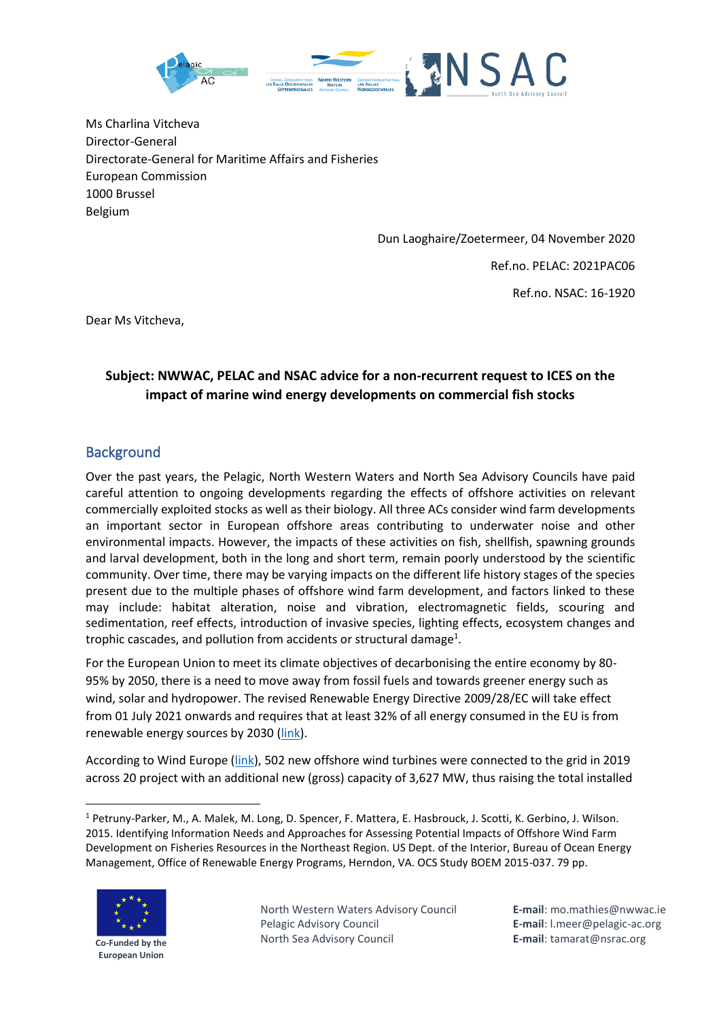

Ms Charlina Vitcheva Director-General Directorate-General for Maritime Affairs and Fisheries European Commission 1000 Brussel Belgium

Dun Laoghaire/Zoetermeer, 04 November 2020

Ref.no. PELAC: 2021PAC06

Ref.no. NSAC: 16-1920

Dear Ms Vitcheva,

## **Subject: NWWAC, PELAC and NSAC advice for a non-recurrent request to ICES on the impact of marine wind energy developments on commercial fish stocks**

## **Background**

Over the past years, the Pelagic, North Western Waters and North Sea Advisory Councils have paid careful attention to ongoing developments regarding the effects of offshore activities on relevant commercially exploited stocks as well as their biology. All three ACs consider wind farm developments an important sector in European offshore areas contributing to underwater noise and other environmental impacts. However, the impacts of these activities on fish, shellfish, spawning grounds and larval development, both in the long and short term, remain poorly understood by the scientific community. Over time, there may be varying impacts on the different life history stages of the species present due to the multiple phases of offshore wind farm development, and factors linked to these may include: habitat alteration, noise and vibration, electromagnetic fields, scouring and sedimentation, reef effects, introduction of invasive species, lighting effects, ecosystem changes and trophic cascades, and pollution from accidents or structural damage<sup>1</sup>.

For the European Union to meet its climate objectives of decarbonising the entire economy by 80- 95% by 2050, there is a need to move away from fossil fuels and towards greener energy such as wind, solar and hydropower. The revised Renewable Energy Directive 2009/28/EC will take effect from 01 July 2021 onwards and requires that at least 32% of all energy consumed in the EU is from renewable energy sources by 2030 [\(link\)](https://www.europarl.europa.eu/legislative-train/theme-resilient-energy-union-with-a-climate-change-policy/file-jd-renewable-energy-directive-for-2030-with-sustainable-biomass-and-biofuels).

According to Wind Europe [\(link\)](https://windeurope.org/wp-content/uploads/files/about-wind/statistics/WindEurope-Annual-Offshore-Statistics-2019.pdf), 502 new offshore wind turbines were connected to the grid in 2019 across 20 project with an additional new (gross) capacity of 3,627 MW, thus raising the total installed

<sup>1</sup> Petruny-Parker, M., A. Malek, M. Long, D. Spencer, F. Mattera, E. Hasbrouck, J. Scotti, K. Gerbino, J. Wilson. 2015. Identifying Information Needs and Approaches for Assessing Potential Impacts of Offshore Wind Farm Development on Fisheries Resources in the Northeast Region. US Dept. of the Interior, Bureau of Ocean Energy Management, Office of Renewable Energy Programs, Herndon, VA. OCS Study BOEM 2015-037. 79 pp.



**Co-Funded by the European Union**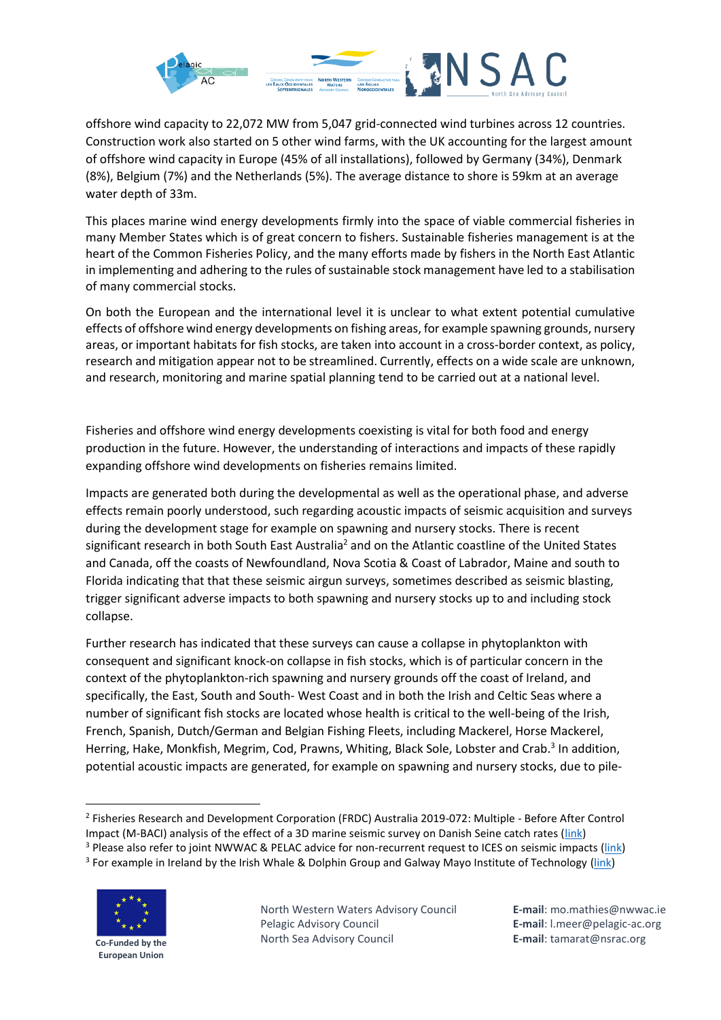

offshore wind capacity to 22,072 MW from 5,047 grid-connected wind turbines across 12 countries. Construction work also started on 5 other wind farms, with the UK accounting for the largest amount of offshore wind capacity in Europe (45% of all installations), followed by Germany (34%), Denmark (8%), Belgium (7%) and the Netherlands (5%). The average distance to shore is 59km at an average water depth of 33m.

This places marine wind energy developments firmly into the space of viable commercial fisheries in many Member States which is of great concern to fishers. Sustainable fisheries management is at the heart of the Common Fisheries Policy, and the many efforts made by fishers in the North East Atlantic in implementing and adhering to the rules of sustainable stock management have led to a stabilisation of many commercial stocks.

On both the European and the international level it is unclear to what extent potential cumulative effects of offshore wind energy developments on fishing areas, for example spawning grounds, nursery areas, or important habitats for fish stocks, are taken into account in a cross-border context, as policy, research and mitigation appear not to be streamlined. Currently, effects on a wide scale are unknown, and research, monitoring and marine spatial planning tend to be carried out at a national level.

Fisheries and offshore wind energy developments coexisting is vital for both food and energy production in the future. However, the understanding of interactions and impacts of these rapidly expanding offshore wind developments on fisheries remains limited.

Impacts are generated both during the developmental as well as the operational phase, and adverse effects remain poorly understood, such regarding acoustic impacts of seismic acquisition and surveys during the development stage for example on spawning and nursery stocks. There is recent significant research in both South East Australia<sup>2</sup> and on the Atlantic coastline of the United States and Canada, off the coasts of Newfoundland, Nova Scotia & Coast of Labrador, Maine and south to Florida indicating that that these seismi[c airgun](file://///Airgun) surveys, sometimes described as seismic blasting, trigger significant adverse impacts to both spawning and nursery stocks up to and including stock collapse.

Further research has indicated that these surveys can cause a collapse in phytoplankton with consequent and significant knock-on collapse in fish stocks, which is of particular concern in the context of the phytoplankton-rich spawning and nursery grounds off the coast of Ireland, and specifically, the East, South and South- West Coast and in both the Irish and Celtic Seas where a number of significant fish stocks are located whose health is critical to the well-being of the Irish, French, Spanish, Dutch/German and Belgian Fishing Fleets, including Mackerel, Horse Mackerel, Herring, Hake, Monkfish, Megrim, Cod, Prawns, Whiting, Black Sole, Lobster and Crab.<sup>3</sup> In addition, potential acoustic impacts are generated, for example on spawning and nursery stocks, due to pile-

<sup>&</sup>lt;sup>3</sup> For example in Ireland by the Irish Whale & Dolphin Group and Galway Mayo Institute of Technology [\(link\)](https://iwdg.ie/state-collaboration/)



**Co-Funded by the European Union**

<sup>2</sup> Fisheries Research and Development Corporation (FRDC) Australia 2019-072: Multiple - Before After Control Impact (M-BACI) analysis of the effect of a 3D marine seismic survey on Danish Seine catch rates [\(link\)](https://www.frdc.com.au/project/2019-072) <sup>3</sup> Please also refer to joint NWWAC & PELAC advice for non-recurrent request to ICES on seismic impacts [\(link\)](http://www.nwwac.org/publications/nwwacpelac-advice-for-non-recurrent-request-to-ices-on-seismic-impacts.2928.html)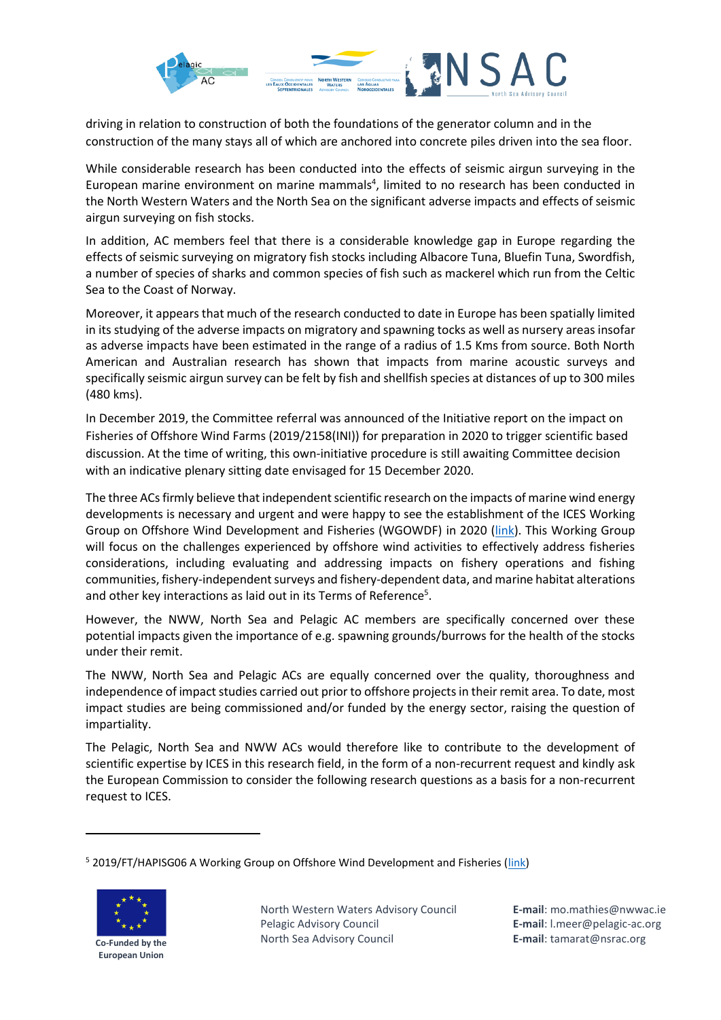

driving in relation to construction of both the foundations of the generator column and in the construction of the many stays all of which are anchored into concrete piles driven into the sea floor.

While considerable research has been conducted into the effects of seismic airgun surveying in the European marine environment on marine mammals<sup>4</sup>, limited to no research has been conducted in the North Western Waters and the North Sea on the significant adverse impacts and effects of seismic airgun surveying on fish stocks.

In addition, AC members feel that there is a considerable knowledge gap in Europe regarding the effects of seismic surveying on migratory fish stocks including Albacore Tuna, Bluefin Tuna, Swordfish, a number of species of sharks and common species of fish such as mackerel which run from the Celtic Sea to the Coast of Norway.

Moreover, it appears that much of the research conducted to date in Europe has been spatially limited in its studying of the adverse impacts on migratory and spawning tocks as well as nursery areas insofar as adverse impacts have been estimated in the range of a radius of 1.5 Kms from source. Both North American and Australian research has shown that impacts from marine acoustic surveys and specifically seismic airgun survey can be felt by fish and shellfish species at distances of up to 300 miles (480 kms).

In December 2019, the Committee referral was announced of the Initiative report on the impact on Fisheries of Offshore Wind Farms (2019/2158(INI)) for preparation in 2020 to trigger scientific based discussion. At the time of writing, this own-initiative procedure is still awaiting Committee decision with an indicative plenary sitting date envisaged for 15 December 2020.

The three ACsfirmly believe that independent scientific research on the impacts of marine wind energy developments is necessary and urgent and were happy to see the establishment of the ICES Working Group on Offshore Wind Development and Fisheries (WGOWDF) in 2020 [\(link\)](https://www.ices.dk/community/groups/Pages/WGOWDF.aspx). This Working Group will focus on the challenges experienced by offshore wind activities to effectively address fisheries considerations, including evaluating and addressing impacts on fishery operations and fishing communities, fishery-independent surveys and fishery-dependent data, and marine habitat alterations and other key interactions as laid out in its Terms of Reference<sup>5</sup>.

However, the NWW, North Sea and Pelagic AC members are specifically concerned over these potential impacts given the importance of e.g. spawning grounds/burrows for the health of the stocks under their remit.

The NWW, North Sea and Pelagic ACs are equally concerned over the quality, thoroughness and independence of impact studies carried out prior to offshore projects in their remit area. To date, most impact studies are being commissioned and/or funded by the energy sector, raising the question of impartiality.

The Pelagic, North Sea and NWW ACs would therefore like to contribute to the development of scientific expertise by ICES in this research field, in the form of a non-recurrent request and kindly ask the European Commission to consider the following research questions as a basis for a non-recurrent request to ICES.

<sup>5</sup> 2019/FT/HAPISG06 A Working Group on Offshore Wind Development and Fisheries [\(link\)](https://www.ices.dk/community/Documents/Science%20EG%20ToRs/HAPISG/2020/WGOWDF%20ToRs%202019.pdf)



**European Union**

**E-mail**: mo.mathies@nwwac.ie **E-mail**: l.meer@pelagic-ac.org **E-mail**: tamarat@nsrac.org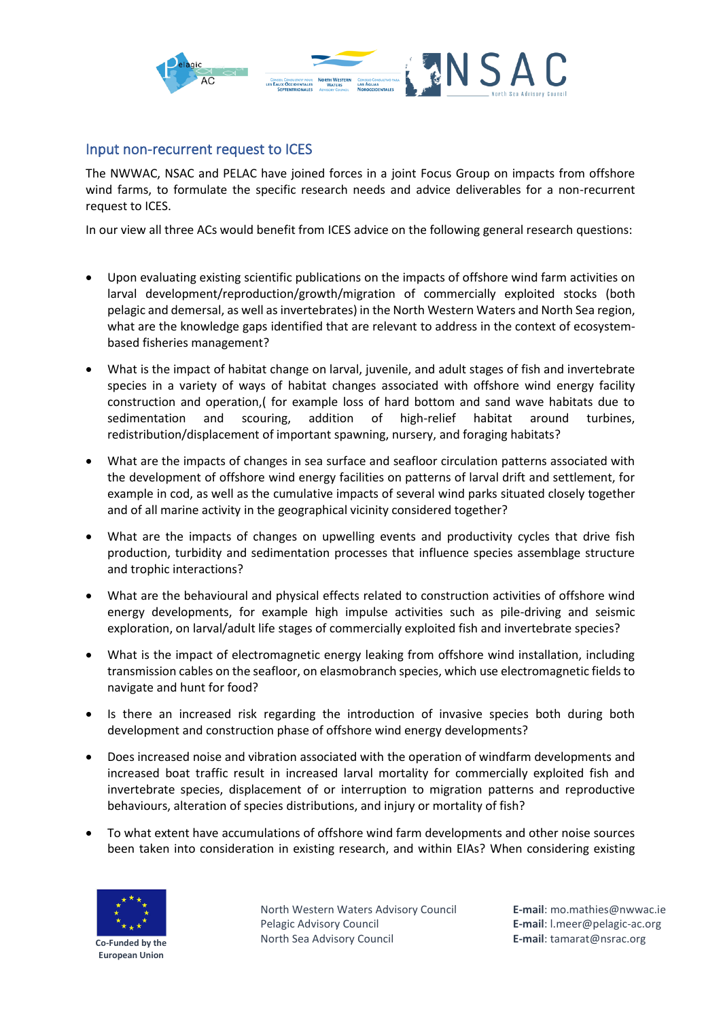

## Input non-recurrent request to ICES

The NWWAC, NSAC and PELAC have joined forces in a joint Focus Group on impacts from offshore wind farms, to formulate the specific research needs and advice deliverables for a non-recurrent request to ICES.

In our view all three ACs would benefit from ICES advice on the following general research questions:

- Upon evaluating existing scientific publications on the impacts of offshore wind farm activities on larval development/reproduction/growth/migration of commercially exploited stocks (both pelagic and demersal, as well as invertebrates) in the North Western Waters and North Sea region, what are the knowledge gaps identified that are relevant to address in the context of ecosystembased fisheries management?
- What is the impact of habitat change on larval, juvenile, and adult stages of fish and invertebrate species in a variety of ways of habitat changes associated with offshore wind energy facility construction and operation,( for example loss of hard bottom and sand wave habitats due to sedimentation and scouring, addition of high-relief habitat around turbines, redistribution/displacement of important spawning, nursery, and foraging habitats?
- What are the impacts of changes in sea surface and seafloor circulation patterns associated with the development of offshore wind energy facilities on patterns of larval drift and settlement, for example in cod, as well as the cumulative impacts of several wind parks situated closely together and of all marine activity in the geographical vicinity considered together?
- What are the impacts of changes on upwelling events and productivity cycles that drive fish production, turbidity and sedimentation processes that influence species assemblage structure and trophic interactions?
- What are the behavioural and physical effects related to construction activities of offshore wind energy developments, for example high impulse activities such as pile-driving and seismic exploration, on larval/adult life stages of commercially exploited fish and invertebrate species?
- What is the impact of electromagnetic energy leaking from offshore wind installation, including transmission cables on the seafloor, on elasmobranch species, which use electromagnetic fields to navigate and hunt for food?
- Is there an increased risk regarding the introduction of invasive species both during both development and construction phase of offshore wind energy developments?
- Does increased noise and vibration associated with the operation of windfarm developments and increased boat traffic result in increased larval mortality for commercially exploited fish and invertebrate species, displacement of or interruption to migration patterns and reproductive behaviours, alteration of species distributions, and injury or mortality of fish?
- To what extent have accumulations of offshore wind farm developments and other noise sources been taken into consideration in existing research, and within EIAs? When considering existing



North Western Waters Advisory Council Pelagic Advisory Council North Sea Advisory Council

**E-mail**: mo.mathies@nwwac.ie **E-mail**: l.meer@pelagic-ac.org **E-mail**: tamarat@nsrac.org